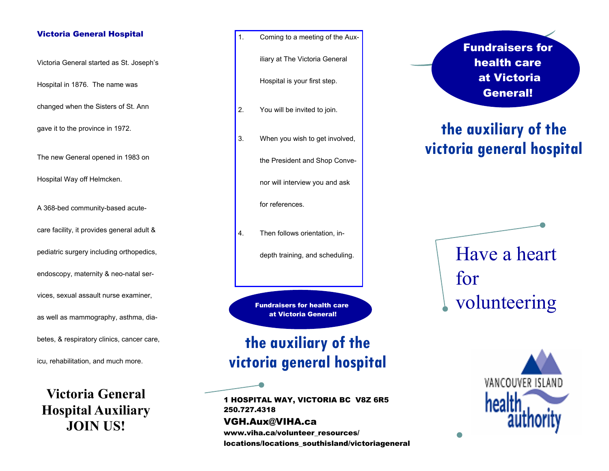#### Victoria General Hospital

Victoria General started as St. Joseph's

Hospital in 1876. The name was

changed when the Sisters of St. Ann

gave it to the province in 1972.

The new General opened in 1983 on

Hospital Way off Helmcken.

A 368-bed community-based acutecare facility, it provides general adult & pediatric surgery including orthopedics, endoscopy, maternity & neo-natal services, sexual assault nurse examiner, as well as mammography, asthma, diabetes, & respiratory clinics, cancer care,

icu, rehabilitation, and much more.

**Victoria General Hospital Auxiliary JOIN US!** 

1. Coming to a meeting of the Aux-

iliary at The Victoria General

Hospital is your first step.

- 2. You will be invited to join.
- 3. When you wish to get involved,

the President and Shop Conve-

nor will interview you and ask

for references.

4. Then follows orientation, in-

depth training, and scheduling.

Fundraisers for health care at Victoria General!

## **the auxiliary of the victoria general hospital**

1 HOSPITAL WAY, VICTORIA BC V8Z 6R5 250.727.4318 VGH.Aux@VIHA.ca www.viha.ca/volunteer\_resources/ locations/locations\_southisland/victoriageneral Fundraisers for health care at Victoria General!

# **the auxiliary of the victoria general hospital**

Have a heart for volunteering